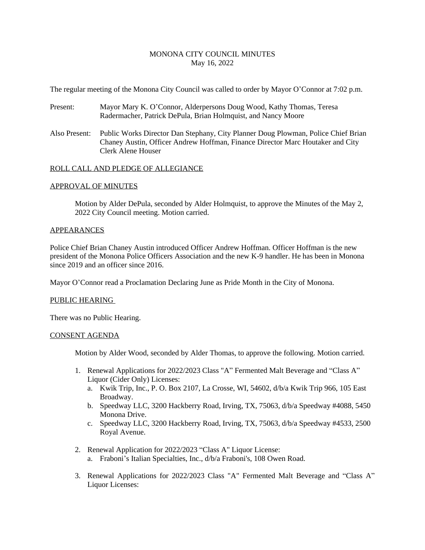# MONONA CITY COUNCIL MINUTES May 16, 2022

The regular meeting of the Monona City Council was called to order by Mayor O'Connor at 7:02 p.m.

- Present: Mayor Mary K. O'Connor, Alderpersons Doug Wood, Kathy Thomas, Teresa Radermacher, Patrick DePula, Brian Holmquist, and Nancy Moore
- Also Present: Public Works Director Dan Stephany, City Planner Doug Plowman, Police Chief Brian Chaney Austin, Officer Andrew Hoffman, Finance Director Marc Houtaker and City Clerk Alene Houser

### ROLL CALL AND PLEDGE OF ALLEGIANCE

#### APPROVAL OF MINUTES

Motion by Alder DePula, seconded by Alder Holmquist, to approve the Minutes of the May 2, 2022 City Council meeting. Motion carried.

#### APPEARANCES

Police Chief Brian Chaney Austin introduced Officer Andrew Hoffman. Officer Hoffman is the new president of the Monona Police Officers Association and the new K-9 handler. He has been in Monona since 2019 and an officer since 2016.

Mayor O'Connor read a Proclamation Declaring June as Pride Month in the City of Monona.

#### PUBLIC HEARING

There was no Public Hearing.

#### CONSENT AGENDA

Motion by Alder Wood, seconded by Alder Thomas, to approve the following. Motion carried.

- 1. Renewal Applications for 2022/2023 Class "A" Fermented Malt Beverage and "Class A" Liquor (Cider Only) Licenses:
	- a. Kwik Trip, Inc., P. O. Box 2107, La Crosse, WI, 54602, d/b/a Kwik Trip 966, 105 East Broadway.
	- b. Speedway LLC, 3200 Hackberry Road, Irving, TX, 75063, d/b/a Speedway #4088, 5450 Monona Drive.
	- c. Speedway LLC, 3200 Hackberry Road, Irving, TX, 75063, d/b/a Speedway #4533, 2500 Royal Avenue.
- 2. Renewal Application for 2022/2023 "Class A" Liquor License:
	- a. Fraboni's Italian Specialties, Inc., d/b/a Fraboni's, 108 Owen Road.
- 3. Renewal Applications for 2022/2023 Class "A" Fermented Malt Beverage and "Class A" Liquor Licenses: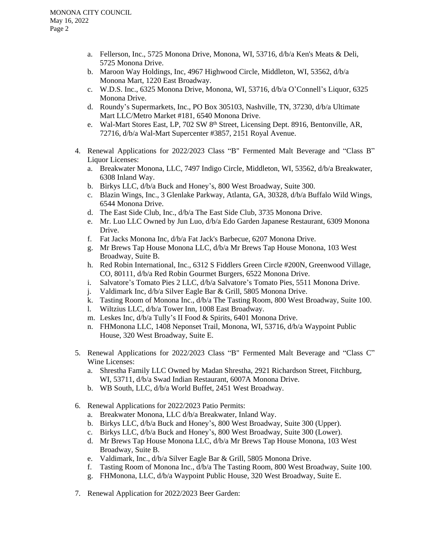- a. Fellerson, Inc., 5725 Monona Drive, Monona, WI, 53716, d/b/a Ken's Meats & Deli, 5725 Monona Drive.
- b. Maroon Way Holdings, Inc, 4967 Highwood Circle, Middleton, WI, 53562, d/b/a Monona Mart, 1220 East Broadway.
- c. W.D.S. Inc., 6325 Monona Drive, Monona, WI, 53716, d/b/a O'Connell's Liquor, 6325 Monona Drive.
- d. Roundy's Supermarkets, Inc., PO Box 305103, Nashville, TN, 37230, d/b/a Ultimate Mart LLC/Metro Market #181, 6540 Monona Drive.
- e. Wal-Mart Stores East, LP, 702 SW 8<sup>th</sup> Street, Licensing Dept. 8916, Bentonville, AR, 72716, d/b/a Wal-Mart Supercenter #3857, 2151 Royal Avenue.
- 4. Renewal Applications for 2022/2023 Class "B" Fermented Malt Beverage and "Class B" Liquor Licenses:
	- a. Breakwater Monona, LLC, 7497 Indigo Circle, Middleton, WI, 53562, d/b/a Breakwater, 6308 Inland Way.
	- b. Birkys LLC, d/b/a Buck and Honey's, 800 West Broadway, Suite 300.
	- c. Blazin Wings, Inc., 3 Glenlake Parkway, Atlanta, GA, 30328, d/b/a Buffalo Wild Wings, 6544 Monona Drive.
	- d. The East Side Club, Inc., d/b/a The East Side Club, 3735 Monona Drive.
	- e. Mr. Luo LLC Owned by Jun Luo, d/b/a Edo Garden Japanese Restaurant, 6309 Monona Drive.
	- f. Fat Jacks Monona Inc, d/b/a Fat Jack's Barbecue, 6207 Monona Drive.
	- g. Mr Brews Tap House Monona LLC, d/b/a Mr Brews Tap House Monona, 103 West Broadway, Suite B.
	- h. Red Robin International, Inc., 6312 S Fiddlers Green Circle #200N, Greenwood Village, CO, 80111, d/b/a Red Robin Gourmet Burgers, 6522 Monona Drive.
	- i. Salvatore's Tomato Pies 2 LLC, d/b/a Salvatore's Tomato Pies, 5511 Monona Drive.
	- j. Valdimark Inc, d/b/a Silver Eagle Bar & Grill, 5805 Monona Drive.
	- k. Tasting Room of Monona Inc., d/b/a The Tasting Room, 800 West Broadway, Suite 100.
	- l. Wiltzius LLC, d/b/a Tower Inn, 1008 East Broadway.
	- m. Leskes Inc, d/b/a Tully's II Food & Spirits, 6401 Monona Drive.
	- n. FHMonona LLC, 1408 Neponset Trail, Monona, WI, 53716, d/b/a Waypoint Public House, 320 West Broadway, Suite E.
- 5. Renewal Applications for 2022/2023 Class "B" Fermented Malt Beverage and "Class C" Wine Licenses:
	- a. Shrestha Family LLC Owned by Madan Shrestha, 2921 Richardson Street, Fitchburg, WI, 53711, d/b/a Swad Indian Restaurant, 6007A Monona Drive.
	- b. WB South, LLC, d/b/a World Buffet, 2451 West Broadway.
- 6. Renewal Applications for 2022/2023 Patio Permits:
	- a. Breakwater Monona, LLC d/b/a Breakwater, Inland Way.
	- b. Birkys LLC, d/b/a Buck and Honey's, 800 West Broadway, Suite 300 (Upper).
	- c. Birkys LLC, d/b/a Buck and Honey's, 800 West Broadway, Suite 300 (Lower).
	- d. Mr Brews Tap House Monona LLC, d/b/a Mr Brews Tap House Monona, 103 West Broadway, Suite B.
	- e. Valdimark, Inc., d/b/a Silver Eagle Bar & Grill, 5805 Monona Drive.
	- f. Tasting Room of Monona Inc., d/b/a The Tasting Room, 800 West Broadway, Suite 100.
	- g. FHMonona, LLC, d/b/a Waypoint Public House, 320 West Broadway, Suite E.
- 7. Renewal Application for 2022/2023 Beer Garden: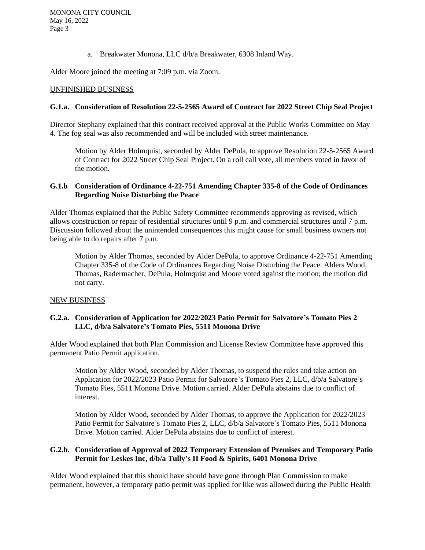a. Breakwater Monona, LLC d/b/a Breakwater, 6308 Inland Way.

Alder Moore joined the meeting at 7:09 p.m. via Zoom.

#### UNFINISHED BUSINESS

# **G.1.a. Consideration of Resolution 22-5-2565 Award of Contract for 2022 Street Chip Seal Project**

Director Stephany explained that this contract received approval at the Public Works Committee on May 4. The fog seal was also recommended and will be included with street maintenance.

Motion by Alder Holmquist, seconded by Alder DePula, to approve Resolution 22-5-2565 Award of Contract for 2022 Street Chip Seal Project. On a roll call vote, all members voted in favor of the motion.

# **G.1.b Consideration of Ordinance 4-22-751 Amending Chapter 335-8 of the Code of Ordinances Regarding Noise Disturbing the Peace**

Alder Thomas explained that the Public Safety Committee recommends approving as revised, which allows construction or repair of residential structures until 9 p.m. and commercial structures until 7 p.m. Discussion followed about the unintended consequences this might cause for small business owners not being able to do repairs after 7 p.m.

Motion by Alder Thomas, seconded by Alder DePula, to approve Ordinance 4-22-751 Amending Chapter 335-8 of the Code of Ordinances Regarding Noise Disturbing the Peace. Alders Wood, Thomas, Radermacher, DePula, Holmquist and Moore voted against the motion; the motion did not carry.

### NEW BUSINESS

# **G.2.a. Consideration of Application for 2022/2023 Patio Permit for Salvatore's Tomato Pies 2 LLC, d/b/a Salvatore's Tomato Pies, 5511 Monona Drive**

Alder Wood explained that both Plan Commission and License Review Committee have approved this permanent Patio Permit application.

Motion by Alder Wood, seconded by Alder Thomas, to suspend the rules and take action on Application for 2022/2023 Patio Permit for Salvatore's Tomato Pies 2, LLC, d/b/a Salvatore's Tomato Pies, 5511 Monona Drive. Motion carried. Alder DePula abstains due to conflict of interest.

Motion by Alder Wood, seconded by Alder Thomas, to approve the Application for 2022/2023 Patio Permit for Salvatore's Tomato Pies 2, LLC, d/b/a Salvatore's Tomato Pies, 5511 Monona Drive. Motion carried. Alder DePula abstains due to conflict of interest.

### **G.2.b. Consideration of Approval of 2022 Temporary Extension of Premises and Temporary Patio Permit for Leskes Inc, d/b/a Tully's II Food & Spirits, 6401 Monona Drive**

Alder Wood explained that this should have should have gone through Plan Commission to make permanent, however, a temporary patio permit was applied for like was allowed during the Public Health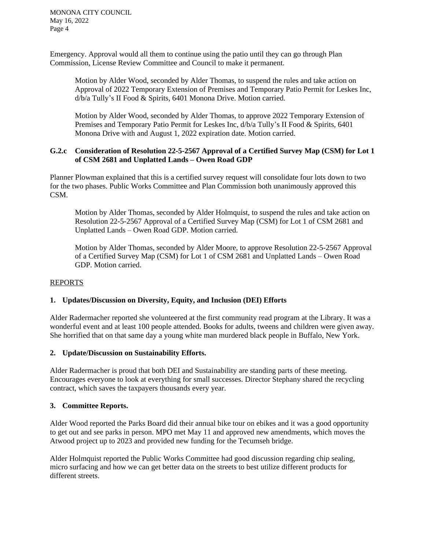MONONA CITY COUNCIL May 16, 2022 Page 4

Emergency. Approval would all them to continue using the patio until they can go through Plan Commission, License Review Committee and Council to make it permanent.

Motion by Alder Wood, seconded by Alder Thomas, to suspend the rules and take action on Approval of 2022 Temporary Extension of Premises and Temporary Patio Permit for Leskes Inc, d/b/a Tully's II Food & Spirits, 6401 Monona Drive. Motion carried.

Motion by Alder Wood, seconded by Alder Thomas, to approve 2022 Temporary Extension of Premises and Temporary Patio Permit for Leskes Inc, d/b/a Tully's II Food & Spirits, 6401 Monona Drive with and August 1, 2022 expiration date. Motion carried.

### **G.2.c Consideration of Resolution 22-5-2567 Approval of a Certified Survey Map (CSM) for Lot 1 of CSM 2681 and Unplatted Lands – Owen Road GDP**

Planner Plowman explained that this is a certified survey request will consolidate four lots down to two for the two phases. Public Works Committee and Plan Commission both unanimously approved this CSM.

Motion by Alder Thomas, seconded by Alder Holmquist, to suspend the rules and take action on Resolution 22-5-2567 Approval of a Certified Survey Map (CSM) for Lot 1 of CSM 2681 and Unplatted Lands – Owen Road GDP. Motion carried.

Motion by Alder Thomas, seconded by Alder Moore, to approve Resolution 22-5-2567 Approval of a Certified Survey Map (CSM) for Lot 1 of CSM 2681 and Unplatted Lands – Owen Road GDP. Motion carried.

### REPORTS

### **1. Updates/Discussion on Diversity, Equity, and Inclusion (DEI) Efforts**

Alder Radermacher reported she volunteered at the first community read program at the Library. It was a wonderful event and at least 100 people attended. Books for adults, tweens and children were given away. She horrified that on that same day a young white man murdered black people in Buffalo, New York.

### **2. Update/Discussion on Sustainability Efforts.**

Alder Radermacher is proud that both DEI and Sustainability are standing parts of these meeting. Encourages everyone to look at everything for small successes. Director Stephany shared the recycling contract, which saves the taxpayers thousands every year.

### **3. Committee Reports.**

Alder Wood reported the Parks Board did their annual bike tour on ebikes and it was a good opportunity to get out and see parks in person. MPO met May 11 and approved new amendments, which moves the Atwood project up to 2023 and provided new funding for the Tecumseh bridge.

Alder Holmquist reported the Public Works Committee had good discussion regarding chip sealing, micro surfacing and how we can get better data on the streets to best utilize different products for different streets.